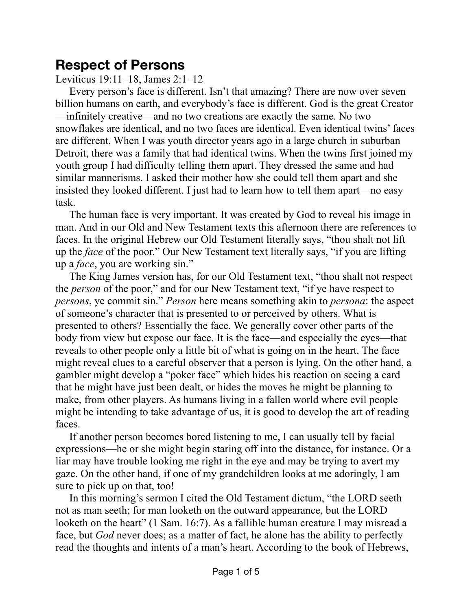## **Respect of Persons**

Leviticus 19:11–18, James 2:1–12

Every person's face is different. Isn't that amazing? There are now over seven billion humans on earth, and everybody's face is different. God is the great Creator —infinitely creative—and no two creations are exactly the same. No two snowflakes are identical, and no two faces are identical. Even identical twins' faces are different. When I was youth director years ago in a large church in suburban Detroit, there was a family that had identical twins. When the twins first joined my youth group I had difficulty telling them apart. They dressed the same and had similar mannerisms. I asked their mother how she could tell them apart and she insisted they looked different. I just had to learn how to tell them apart—no easy task.

The human face is very important. It was created by God to reveal his image in man. And in our Old and New Testament texts this afternoon there are references to faces. In the original Hebrew our Old Testament literally says, "thou shalt not lift up the *face* of the poor." Our New Testament text literally says, "if you are lifting up a *face*, you are working sin."

The King James version has, for our Old Testament text, "thou shalt not respect the *person* of the poor," and for our New Testament text, "if ye have respect to *persons*, ye commit sin." *Person* here means something akin to *persona*: the aspect of someone's character that is presented to or perceived by others. What is presented to others? Essentially the face. We generally cover other parts of the body from view but expose our face. It is the face—and especially the eyes—that reveals to other people only a little bit of what is going on in the heart. The face might reveal clues to a careful observer that a person is lying. On the other hand, a gambler might develop a "poker face" which hides his reaction on seeing a card that he might have just been dealt, or hides the moves he might be planning to make, from other players. As humans living in a fallen world where evil people might be intending to take advantage of us, it is good to develop the art of reading faces.

If another person becomes bored listening to me, I can usually tell by facial expressions—he or she might begin staring off into the distance, for instance. Or a liar may have trouble looking me right in the eye and may be trying to avert my gaze. On the other hand, if one of my grandchildren looks at me adoringly, I am sure to pick up on that, too!

In this morning's sermon I cited the Old Testament dictum, "the LORD seeth not as man seeth; for man looketh on the outward appearance, but the LORD looketh on the heart" (1 Sam. 16:7). As a fallible human creature I may misread a face, but *God* never does; as a matter of fact, he alone has the ability to perfectly read the thoughts and intents of a man's heart. According to the book of Hebrews,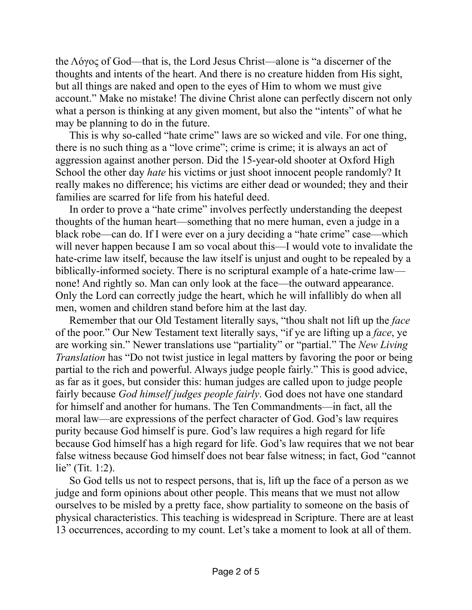the Λόγος of God—that is, the Lord Jesus Christ—alone is "a discerner of the thoughts and intents of the heart. And there is no creature hidden from His sight, but all things are naked and open to the eyes of Him to whom we must give account." Make no mistake! The divine Christ alone can perfectly discern not only what a person is thinking at any given moment, but also the "intents" of what he may be planning to do in the future.

This is why so-called "hate crime" laws are so wicked and vile. For one thing, there is no such thing as a "love crime"; crime is crime; it is always an act of aggression against another person. Did the 15-year-old shooter at Oxford High School the other day *hate* his victims or just shoot innocent people randomly? It really makes no difference; his victims are either dead or wounded; they and their families are scarred for life from his hateful deed.

In order to prove a "hate crime" involves perfectly understanding the deepest thoughts of the human heart—something that no mere human, even a judge in a black robe—can do. If I were ever on a jury deciding a "hate crime" case—which will never happen because I am so vocal about this—I would vote to invalidate the hate-crime law itself, because the law itself is unjust and ought to be repealed by a biblically-informed society. There is no scriptural example of a hate-crime law none! And rightly so. Man can only look at the face—the outward appearance. Only the Lord can correctly judge the heart, which he will infallibly do when all men, women and children stand before him at the last day.

Remember that our Old Testament literally says, "thou shalt not lift up the *face* of the poor." Our New Testament text literally says, "if ye are lifting up a *face*, ye are working sin." Newer translations use "partiality" or "partial." The *New Living Translation* has "Do not twist justice in legal matters by favoring the poor or being partial to the rich and powerful. Always judge people fairly." This is good advice, as far as it goes, but consider this: human judges are called upon to judge people fairly because *God himself judges people fairly*. God does not have one standard for himself and another for humans. The Ten Commandments—in fact, all the moral law—are expressions of the perfect character of God. God's law requires purity because God himself is pure. God's law requires a high regard for life because God himself has a high regard for life. God's law requires that we not bear false witness because God himself does not bear false witness; in fact, God "cannot lie" (Tit. 1:2).

So God tells us not to respect persons, that is, lift up the face of a person as we judge and form opinions about other people. This means that we must not allow ourselves to be misled by a pretty face, show partiality to someone on the basis of physical characteristics. This teaching is widespread in Scripture. There are at least 13 occurrences, according to my count. Let's take a moment to look at all of them.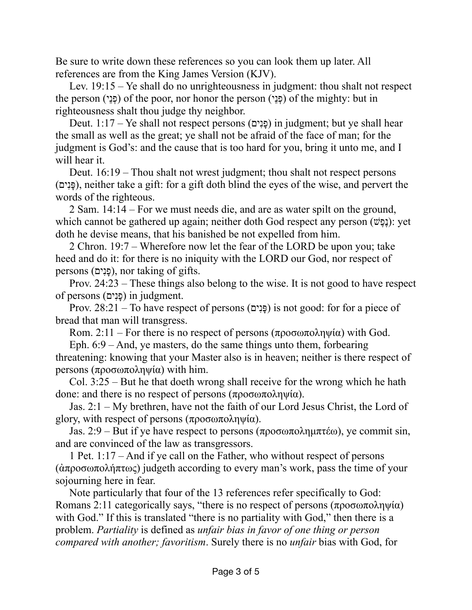Be sure to write down these references so you can look them up later. All references are from the King James Version (KJV).

Lev. 19:15 – Ye shall do no unrighteousness in judgment: thou shalt not respect the person (פְנֵי) of the poor, nor honor the person (פְנֵי) of the mighty: but in righteousness shalt thou judge thy neighbor.

Deut. 1:17 – Ye shall not respect persons (פנים) in judgment; but ye shall hear the small as well as the great; ye shall not be afraid of the face of man; for the judgment is God's: and the cause that is too hard for you, bring it unto me, and I will hear it.

Deut. 16:19 – Thou shalt not wrest judgment; thou shalt not respect persons (יםִנָפּ(, neither take a gift: for a gift doth blind the eyes of the wise, and pervert the words of the righteous.

2 Sam. 14:14 – For we must needs die, and are as water spilt on the ground, which cannot be gathered up again; neither doth God respect any person (וַבֶּנָּשׁ): yet doth he devise means, that his banished be not expelled from him.

2 Chron. 19:7 – Wherefore now let the fear of the LORD be upon you; take heed and do it: for there is no iniquity with the LORD our God, nor respect of persons (פנים), nor taking of gifts.

Prov. 24:23 – These things also belong to the wise. It is not good to have respect of persons (פֵנִים) in judgment.

Prov.  $28:21$  – To have respect of persons (פֵּנִים) is not good: for for a piece of bread that man will transgress.

Rom. 2:11 – For there is no respect of persons (προσωποληψία) with God.

Eph. 6:9 – And, ye masters, do the same things unto them, forbearing threatening: knowing that your Master also is in heaven; neither is there respect of persons (προσωποληψία) with him.

Col. 3:25 – But he that doeth wrong shall receive for the wrong which he hath done: and there is no respect of persons (προσωποληψία).

Jas. 2:1 – My brethren, have not the faith of our Lord Jesus Christ, the Lord of glory, with respect of persons  $(προσωποληψία)$ .

Jas. 2:9 – But if ye have respect to persons (προσωποληµπτέω), ye commit sin, and are convinced of the law as transgressors.

1 Pet. 1:17 – And if ye call on the Father, who without respect of persons (ἀπροσωπολήπτως) judgeth according to every man's work, pass the time of your sojourning here in fear.

Note particularly that four of the 13 references refer specifically to God: Romans 2:11 categorically says, "there is no respect of persons (προσωποληψία) with God." If this is translated "there is no partiality with God," then there is a problem. *Partiality* is defined as *unfair bias in favor of one thing or person compared with another; favoritism*. Surely there is no *unfair* bias with God, for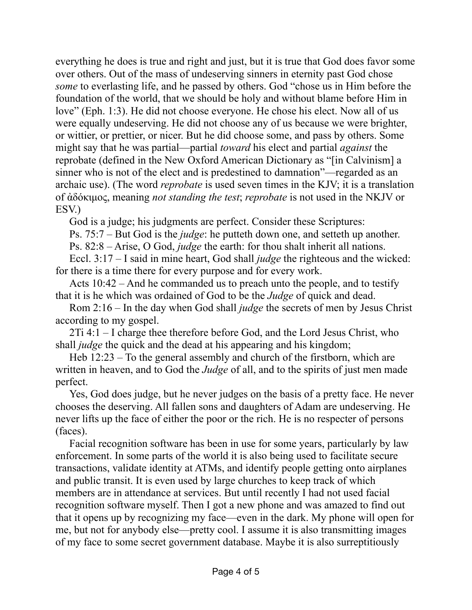everything he does is true and right and just, but it is true that God does favor some over others. Out of the mass of undeserving sinners in eternity past God chose *some* to everlasting life, and he passed by others. God "chose us in Him before the foundation of the world, that we should be holy and without blame before Him in love" (Eph. 1:3). He did not choose everyone. He chose his elect. Now all of us were equally undeserving. He did not choose any of us because we were brighter, or wittier, or prettier, or nicer. But he did choose some, and pass by others. Some might say that he was partial—partial *toward* his elect and partial *against* the reprobate (defined in the New Oxford American Dictionary as "[in Calvinism] a sinner who is not of the elect and is predestined to damnation"—regarded as an archaic use). (The word *reprobate* is used seven times in the KJV; it is a translation of ἀδόκιµος, meaning *not standing the test*; *reprobate* is not used in the NKJV or ESV.)

God is a judge; his judgments are perfect. Consider these Scriptures:

Ps. 75:7 – But God is the *judge*: he putteth down one, and setteth up another.

Ps. 82:8 – Arise, O God, *judge* the earth: for thou shalt inherit all nations.

Eccl. 3:17 – I said in mine heart, God shall *judge* the righteous and the wicked: for there is a time there for every purpose and for every work.

Acts 10:42 – And he commanded us to preach unto the people, and to testify that it is he which was ordained of God to be the *Judge* of quick and dead.

Rom 2:16 – In the day when God shall *judge* the secrets of men by Jesus Christ according to my gospel.

2Ti 4:1 – I charge thee therefore before God, and the Lord Jesus Christ, who shall *judge* the quick and the dead at his appearing and his kingdom;

Heb 12:23 – To the general assembly and church of the firstborn, which are written in heaven, and to God the *Judge* of all, and to the spirits of just men made perfect.

Yes, God does judge, but he never judges on the basis of a pretty face. He never chooses the deserving. All fallen sons and daughters of Adam are undeserving. He never lifts up the face of either the poor or the rich. He is no respecter of persons (faces).

Facial recognition software has been in use for some years, particularly by law enforcement. In some parts of the world it is also being used to facilitate secure transactions, validate identity at ATMs, and identify people getting onto airplanes and public transit. It is even used by large churches to keep track of which members are in attendance at services. But until recently I had not used facial recognition software myself. Then I got a new phone and was amazed to find out that it opens up by recognizing my face—even in the dark. My phone will open for me, but not for anybody else—pretty cool. I assume it is also transmitting images of my face to some secret government database. Maybe it is also surreptitiously